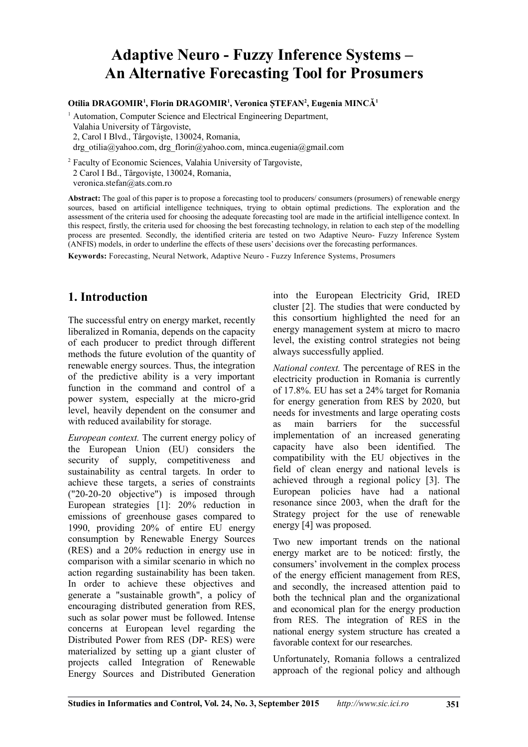# **Adaptive Neuro - Fuzzy Inference Systems – An Alternative Forecasting Tool for Prosumers**

#### **Otilia DRAGOMIR<sup>1</sup> , Florin DRAGOMIR<sup>1</sup> , Veronica TEFAN** Ș **2 , Eugenia MINCĂ<sup>1</sup>**

<sup>1</sup> Automation, Computer Science and Electrical Engineering Department, Valahia University of Târgoviste, 2, Carol I Blvd., Târgoviste, 130024, Romania, drg\_otilia@yahoo.com, drg\_florin@yahoo.com, minca.eugenia@gmail.com

<sup>2</sup>Faculty of Economic Sciences, Valahia University of Targoviste, 2 Carol I Bd., Târgoviște, 130024, Romania, veronica.stefan@ats.com.ro

**Abstract:** The goal of this paper is to propose a forecasting tool to producers/ consumers (prosumers) of renewable energy sources, based on artificial intelligence techniques, trying to obtain optimal predictions. The exploration and the assessment of the criteria used for choosing the adequate forecasting tool are made in the artificial intelligence context. In this respect, firstly, the criteria used for choosing the best forecasting technology, in relation to each step of the modelling process are presented. Secondly, the identified criteria are tested on two Adaptive Neuro- Fuzzy Inference System (ANFIS) models, in order to underline the effects of these users' decisions over the forecasting performances.

**Keywords:** Forecasting, Neural Network, Adaptive Neuro - Fuzzy Inference Systems, Prosumers

# **1. Introduction**

The successful entry on energy market, recently liberalized in Romania, depends on the capacity of each producer to predict through different methods the future evolution of the quantity of renewable energy sources. Thus, the integration of the predictive ability is a very important function in the command and control of a power system, especially at the micro-grid level, heavily dependent on the consumer and with reduced availability for storage.

*European context.* The current energy policy of the European Union (EU) considers the security of supply, competitiveness and sustainability as central targets. In order to achieve these targets, a series of constraints ("20-20-20 objective") is imposed through European strategies [1]: 20% reduction in emissions of greenhouse gases compared to 1990, providing 20% of entire EU energy consumption by Renewable Energy Sources (RES) and a 20% reduction in energy use in comparison with a similar scenario in which no action regarding sustainability has been taken. In order to achieve these objectives and generate a "sustainable growth", a policy of encouraging distributed generation from RES, such as solar power must be followed. Intense concerns at European level regarding the Distributed Power from RES (DP- RES) were materialized by setting up a giant cluster of projects called Integration of Renewable Energy Sources and Distributed Generation into the European Electricity Grid, IRED cluster [2]. The studies that were conducted by this consortium highlighted the need for an energy management system at micro to macro level, the existing control strategies not being always successfully applied.

*National context.* The percentage of RES in the electricity production in Romania is currently of 17.8%. EU has set a 24% target for Romania for energy generation from RES by 2020, but needs for investments and large operating costs as main barriers for the successful implementation of an increased generating capacity have also been identified. The compatibility with the EU objectives in the field of clean energy and national levels is achieved through a regional policy [3]. The European policies have had a national resonance since 2003, when the draft for the Strategy project for the use of renewable energy [4] was proposed.

Two new important trends on the national energy market are to be noticed: firstly, the consumers' involvement in the complex process of the energy efficient management from RES, and secondly, the increased attention paid to both the technical plan and the organizational and economical plan for the energy production from RES. The integration of RES in the national energy system structure has created a favorable context for our researches.

Unfortunately, Romania follows a centralized approach of the regional policy and although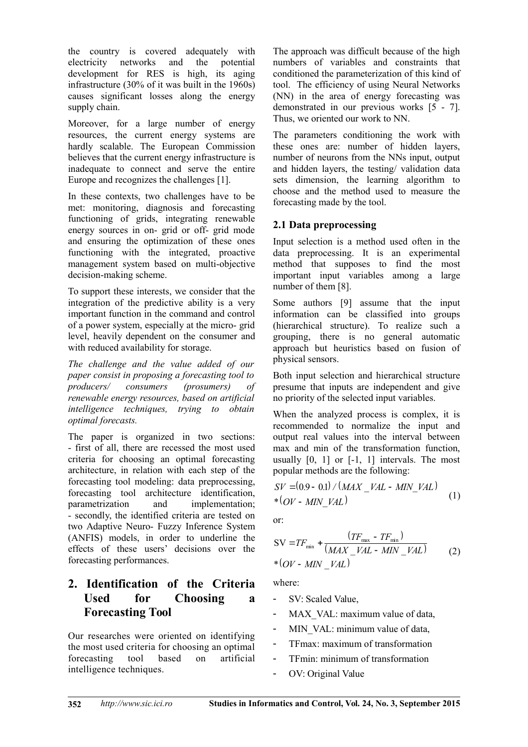the country is covered adequately with electricity networks and the potential development for RES is high, its aging infrastructure (30% of it was built in the 1960s) causes significant losses along the energy supply chain.

Moreover, for a large number of energy resources, the current energy systems are hardly scalable. The European Commission believes that the current energy infrastructure is inadequate to connect and serve the entire Europe and recognizes the challenges [1].

In these contexts, two challenges have to be met: monitoring, diagnosis and forecasting functioning of grids, integrating renewable energy sources in on- grid or off- grid mode and ensuring the optimization of these ones functioning with the integrated, proactive management system based on multi-objective decision-making scheme.

To support these interests, we consider that the integration of the predictive ability is a very important function in the command and control of a power system, especially at the micro- grid level, heavily dependent on the consumer and with reduced availability for storage.

*The challenge and the value added of our paper consist in proposing a forecasting tool to producers/ consumers (prosumers) of renewable energy resources, based on artificial intelligence techniques, trying to obtain optimal forecasts.* 

The paper is organized in two sections: - first of all, there are recessed the most used criteria for choosing an optimal forecasting architecture, in relation with each step of the forecasting tool modeling: data preprocessing, forecasting tool architecture identification, parametrization and implementation; - secondly, the identified criteria are tested on two Adaptive Neuro- Fuzzy Inference System (ANFIS) models, in order to underline the effects of these users' decisions over the forecasting performances.

# **2. Identification of the Criteria Used for Choosing a Forecasting Tool**

Our researches were oriented on identifying the most used criteria for choosing an optimal forecasting tool based on artificial intelligence techniques.

The approach was difficult because of the high numbers of variables and constraints that conditioned the parameterization of this kind of tool. The efficiency of using Neural Networks (NN) in the area of energy forecasting was demonstrated in our previous works [5 - 7]. Thus, we oriented our work to NN.

The parameters conditioning the work with these ones are: number of hidden layers, number of neurons from the NNs input, output and hidden layers, the testing/ validation data sets dimension, the learning algorithm to choose and the method used to measure the forecasting made by the tool.

### **2.1 Data preprocessing**

Input selection is a method used often in the data preprocessing. It is an experimental method that supposes to find the most important input variables among a large number of them [8].

Some authors [9] assume that the input information can be classified into groups (hierarchical structure). To realize such a grouping, there is no general automatic approach but heuristics based on fusion of physical sensors.

Both input selection and hierarchical structure presume that inputs are independent and give no priority of the selected input variables.

When the analyzed process is complex, it is recommended to normalize the input and output real values into the interval between max and min of the transformation function, usually  $[0, 1]$  or  $[-1, 1]$  intervals. The most popular methods are the following:

$$
SV = (0.9 - 0.1) / (MAX_YAL - MIN_YAL)
$$
  
\*(OV - MIN\_YAL) (1)

or:

$$
SV = TF_{min} + \frac{(TF_{max} - TF_{min})}{(MAX\_VAL - MIN\_VAL)}
$$
  
\*(OV - MIN\\_VAL) (2)

where:

- SV: Scaled Value,
- MAX VAL: maximum value of data,
- MIN\_VAL: minimum value of data,
- TFmax: maximum of transformation
- TFmin: minimum of transformation
- OV: Original Value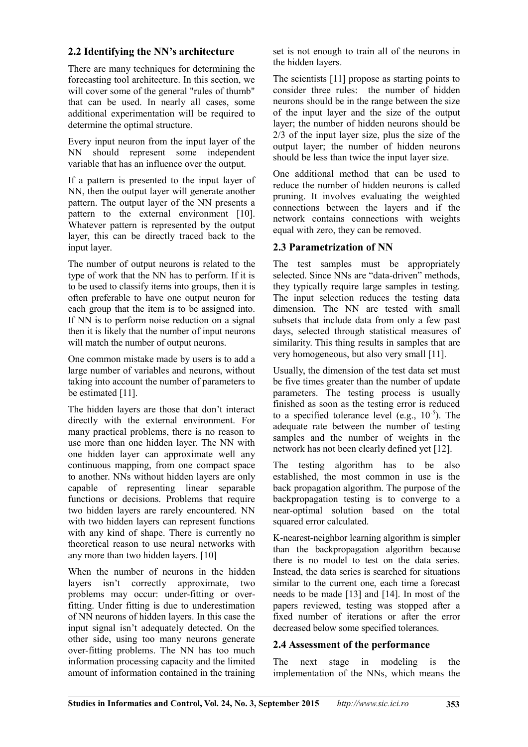### **2.2 Identifying the NN's architecture**

There are many techniques for determining the forecasting tool architecture. In this section, we will cover some of the general "rules of thumb" that can be used. In nearly all cases, some additional experimentation will be required to determine the optimal structure.

Every input neuron from the input layer of the NN should represent some independent variable that has an influence over the output.

If a pattern is presented to the input layer of NN, then the output layer will generate another pattern. The output layer of the NN presents a pattern to the external environment [10]. Whatever pattern is represented by the output layer, this can be directly traced back to the input layer.

The number of output neurons is related to the type of work that the NN has to perform. If it is to be used to classify items into groups, then it is often preferable to have one output neuron for each group that the item is to be assigned into. If NN is to perform noise reduction on a signal then it is likely that the number of input neurons will match the number of output neurons.

One common mistake made by users is to add a large number of variables and neurons, without taking into account the number of parameters to be estimated [11].

The hidden layers are those that don't interact directly with the external environment. For many practical problems, there is no reason to use more than one hidden layer. The NN with one hidden layer can approximate well any continuous mapping, from one compact space to another. NNs without hidden layers are only capable of representing linear separable functions or decisions. Problems that require two hidden layers are rarely encountered. NN with two hidden layers can represent functions with any kind of shape. There is currently no theoretical reason to use neural networks with any more than two hidden layers. [10]

When the number of neurons in the hidden layers isn't correctly approximate, two problems may occur: under-fitting or overfitting. Under fitting is due to underestimation of NN neurons of hidden layers. In this case the input signal isn't adequately detected. On the other side, using too many neurons generate over-fitting problems. The NN has too much information processing capacity and the limited amount of information contained in the training

set is not enough to train all of the neurons in the hidden layers.

The scientists [11] propose as starting points to consider three rules: the number of hidden neurons should be in the range between the size of the input layer and the size of the output layer; the number of hidden neurons should be 2/3 of the input layer size, plus the size of the output layer; the number of hidden neurons should be less than twice the input layer size.

One additional method that can be used to reduce the number of hidden neurons is called pruning. It involves evaluating the weighted connections between the layers and if the network contains connections with weights equal with zero, they can be removed.

### **2.3 Parametrization of NN**

The test samples must be appropriately selected. Since NNs are "data-driven" methods, they typically require large samples in testing. The input selection reduces the testing data dimension. The NN are tested with small subsets that include data from only a few past days, selected through statistical measures of similarity. This thing results in samples that are very homogeneous, but also very small [11].

Usually, the dimension of the test data set must be five times greater than the number of update parameters. The testing process is usually finished as soon as the testing error is reduced to a specified tolerance level (e.g.,  $10^{-5}$ ). The adequate rate between the number of testing samples and the number of weights in the network has not been clearly defined yet [12].

The testing algorithm has to be also established, the most common in use is the back propagation algorithm. The purpose of the backpropagation testing is to converge to a near-optimal solution based on the total squared error calculated.

K-nearest-neighbor learning algorithm is simpler than the backpropagation algorithm because there is no model to test on the data series. Instead, the data series is searched for situations similar to the current one, each time a forecast needs to be made [13] and [14]. In most of the papers reviewed, testing was stopped after a fixed number of iterations or after the error decreased below some specified tolerances.

#### **2.4 Assessment of the performance**

The next stage in modeling is the implementation of the NNs, which means the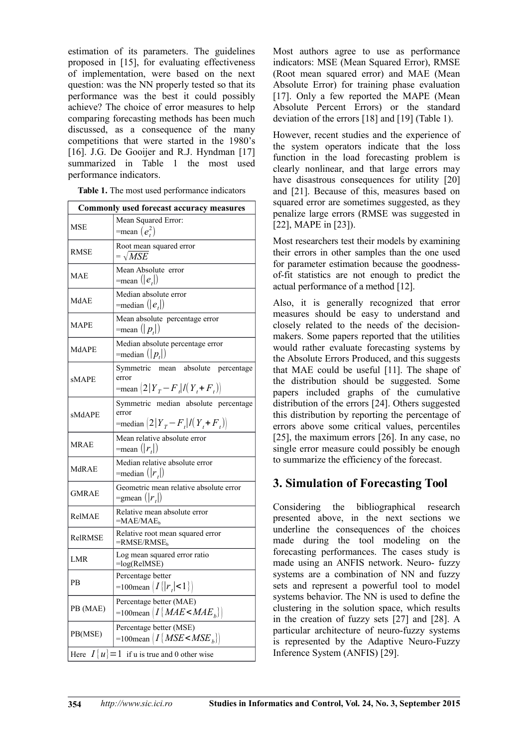estimation of its parameters. The guidelines proposed in [15], for evaluating effectiveness of implementation, were based on the next question: was the NN properly tested so that its performance was the best it could possibly achieve? The choice of error measures to help comparing forecasting methods has been much discussed, as a consequence of the many competitions that were started in the 1980's [16]. J.G. De Gooijer and R.J. Hyndman [17] summarized in Table 1 the most used performance indicators.

| Commonly used forecast accuracy measures            |                                                                                                   |  |  |  |  |
|-----------------------------------------------------|---------------------------------------------------------------------------------------------------|--|--|--|--|
|                                                     | Mean Squared Error:                                                                               |  |  |  |  |
| <b>MSE</b>                                          | =mean $(e_t^2)$                                                                                   |  |  |  |  |
| <b>RMSE</b>                                         | Root mean squared error<br>$=\sqrt{MSE}$                                                          |  |  |  |  |
| MAE                                                 | Mean Absolute error<br>$=$ mean $( e_t )$                                                         |  |  |  |  |
| MdAE                                                | Median absolute error<br>=median $( e_t )$                                                        |  |  |  |  |
| MAPE                                                | Mean absolute percentage error<br>$=$ mean $( p_t )$                                              |  |  |  |  |
| MdAPE                                               | Median absolute percentage error<br>=median $( p_t )$                                             |  |  |  |  |
| sMAPE                                               | Symmetric mean absolute percentage<br>error<br>=mean $\left(2 Y_T - F_t  I(Y_t + F_t)\right)$     |  |  |  |  |
| sMdAPE                                              | Symmetric median absolute percentage<br>error<br>=median $\left(2 Y_T - F_t  I(Y_t + F_t)\right)$ |  |  |  |  |
| MRAE                                                | Mean relative absolute error<br>$=$ mean $( r_t )$                                                |  |  |  |  |
| MdRAE                                               | Median relative absolute error<br>=median $( r_t )$                                               |  |  |  |  |
| <b>GMRAE</b>                                        | Geometric mean relative absolute error<br>=gmean $( r_{i} )$                                      |  |  |  |  |
| RelMAE                                              | Relative mean absolute error<br>$=MAE/MAE_b$                                                      |  |  |  |  |
| RelRMSE                                             | Relative root mean squared error<br>$=$ RMSE/RMSE <sub>b</sub>                                    |  |  |  |  |
| LMR                                                 | Log mean squared error ratio<br>$=log(RelMSE)$                                                    |  |  |  |  |
| PB                                                  | Percentage better<br>=100 mean $\left(I\{ r_{t} \leq 1\}\right)$                                  |  |  |  |  |
| PB (MAE)                                            | Percentage better (MAE)<br>=100 mean $\left[I\left\{MAE\leq MAE_{h}\right\}\right]$               |  |  |  |  |
| PB(MSE)                                             | Percentage better (MSE)<br>=100 mean $\left(I\left\{MSE\leq MSE_{h}\right\}\right)$               |  |  |  |  |
| if u is true and 0 other wise<br>Here $I{u}$<br>= 1 |                                                                                                   |  |  |  |  |

**Table 1.** The most used performance indicators

Most authors agree to use as performance indicators: MSE (Mean Squared Error), RMSE (Root mean squared error) and MAE (Mean Absolute Error) for training phase evaluation [17]. Only a few reported the MAPE (Mean Absolute Percent Errors) or the standard deviation of the errors [18] and [19] (Table 1).

However, recent studies and the experience of the system operators indicate that the loss function in the load forecasting problem is clearly nonlinear, and that large errors may have disastrous consequences for utility [20] and [21]. Because of this, measures based on squared error are sometimes suggested, as they penalize large errors (RMSE was suggested in [22], MAPE in [23]).

Most researchers test their models by examining their errors in other samples than the one used for parameter estimation because the goodnessof-fit statistics are not enough to predict the actual performance of a method [12].

Also, it is generally recognized that error measures should be easy to understand and closely related to the needs of the decisionmakers. Some papers reported that the utilities would rather evaluate forecasting systems by the Absolute Errors Produced, and this suggests that MAE could be useful [11]. The shape of the distribution should be suggested. Some papers included graphs of the cumulative distribution of the errors [24]. Others suggested this distribution by reporting the percentage of errors above some critical values, percentiles [25], the maximum errors [26]. In any case, no single error measure could possibly be enough to summarize the efficiency of the forecast.

### **3. Simulation of Forecasting Tool**

Considering the bibliographical research presented above, in the next sections we underline the consequences of the choices made during the tool modeling on the forecasting performances. The cases study is made using an ANFIS network. Neuro- fuzzy systems are a combination of NN and fuzzy sets and represent a powerful tool to model systems behavior. The NN is used to define the clustering in the solution space, which results in the creation of fuzzy sets [27] and [28]. A particular architecture of neuro-fuzzy systems is represented by the Adaptive Neuro-Fuzzy Inference System (ANFIS) [29].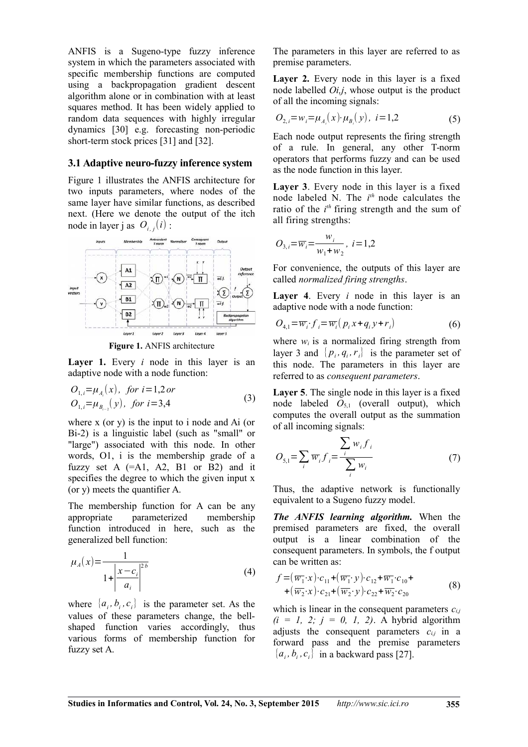ANFIS is a Sugeno-type fuzzy inference system in which the parameters associated with specific membership functions are computed using a backpropagation gradient descent algorithm alone or in combination with at least squares method. It has been widely applied to random data sequences with highly irregular dynamics [30] e.g. forecasting non-periodic short-term stock prices [31] and [32].

#### **3.1 Adaptive neuro-fuzzy inference system**

Figure 1 illustrates the ANFIS architecture for two inputs parameters, where nodes of the same layer have similar functions, as described next. (Here we denote the output of the itch node in layer j as  $O_{i,j}(i)$ :



**Figure 1.** ANFIS architecture

Layer 1. Every *i* node in this layer is an adaptive node with a node function:

$$
O_{1,i} = \mu_{A_i}(x), \text{ for } i = 1, 2 \text{ or}
$$
  
\n
$$
O_{1,i} = \mu_{B_{i-2}}(y), \text{ for } i = 3, 4
$$
 (3)

where x (or y) is the input to i node and Ai (or Bi-2) is a linguistic label (such as "small" or "large") associated with this node. In other words, O1, i is the membership grade of a fuzzy set A  $(=A1, A2, B1$  or B2) and it specifies the degree to which the given input x (or y) meets the quantifier A.

The membership function for A can be any appropriate parameterized membership function introduced in here, such as the generalized bell function:

$$
\mu_A(x) = \frac{1}{1 + \left|\frac{x - c_i}{a_i}\right|^{2b}}
$$
\n(4)

where  $\{a_i, b_i, c_i\}$  is the parameter set. As the values of these parameters change, the bellshaped function varies accordingly, thus various forms of membership function for fuzzy set A.

The parameters in this layer are referred to as premise parameters.

Layer 2. Every node in this layer is a fixed node labelled *Oi,j*, whose output is the product of all the incoming signals:

$$
O_{2,i} = w_i = \mu_{A_i}(x) \cdot \mu_{B_i}(y), \quad i = 1, 2 \tag{5}
$$

Each node output represents the firing strength of a rule. In general, any other T-norm operators that performs fuzzy and can be used as the node function in this layer.

**Layer 3**. Every node in this layer is a fixed node labeled N. The *i th* node calculates the ratio of the *i*<sup>th</sup> firing strength and the sum of all firing strengths:

$$
O_{3,i} = \overline{w_i} = \frac{w_i}{w_1 + w_2}, \ i = 1, 2
$$

For convenience, the outputs of this layer are called *normalized firing strengths*.

Layer 4. Every *i* node in this layer is an adaptive node with a node function:

$$
O_{4,1} = \overline{w}_i \cdot f_i = \overline{w}_i \big( p_i x + q_i y + r_i \big) \tag{6}
$$

where  $w_i$  is a normalized firing strength from layer 3 and  $\{p_i, q_i, r_i\}$  is the parameter set of this node. The parameters in this layer are referred to as *consequent parameters*.

**Layer 5**. The single node in this layer is a fixed node labeled  $O_{5,1}$  (overall output), which computes the overall output as the summation of all incoming signals:

$$
O_{5,1} = \sum_{i} \overline{w}_i f_i = \frac{\sum_{i} w_i f_i}{\sum_{i} w_i}
$$
 (7)

Thus, the adaptive network is functionally equivalent to a Sugeno fuzzy model.

*The ANFIS learning algorithm.* When the premised parameters are fixed, the overall output is a linear combination of the consequent parameters. In symbols, the f output can be written as:

$$
f = (\overline{w_1} \cdot x) \cdot c_{11} + (\overline{w_1} \cdot y) \cdot c_{12} + \overline{w_1} \cdot c_{10} +
$$
  
+ (\overline{w\_2} \cdot x) \cdot c\_{21} + (\overline{w\_2} \cdot y) \cdot c\_{22} + \overline{w\_2} \cdot c\_{20} \t\t(8)

which is linear in the consequent parameters  $c_{i,j}$  $(i = 1, 2; i = 0, 1, 2)$ . A hybrid algorithm adjusts the consequent parameters  $c_{i,j}$  in a forward pass and the premise parameters  $\{a_i, b_i, c_i\}$  in a backward pass [27].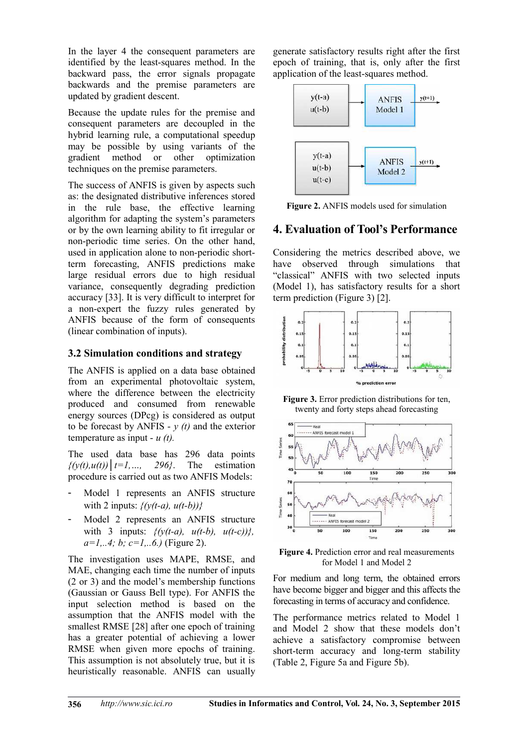In the layer 4 the consequent parameters are identified by the least-squares method. In the backward pass, the error signals propagate backwards and the premise parameters are updated by gradient descent.

Because the update rules for the premise and consequent parameters are decoupled in the hybrid learning rule, a computational speedup may be possible by using variants of the gradient method or other optimization techniques on the premise parameters.

The success of ANFIS is given by aspects such as: the designated distributive inferences stored in the rule base, the effective learning algorithm for adapting the system's parameters or by the own learning ability to fit irregular or non-periodic time series. On the other hand, used in application alone to non-periodic shortterm forecasting, ANFIS predictions make large residual errors due to high residual variance, consequently degrading prediction accuracy [33]. It is very difficult to interpret for a non-expert the fuzzy rules generated by ANFIS because of the form of consequents (linear combination of inputs).

#### **3.2 Simulation conditions and strategy**

The ANFIS is applied on a data base obtained from an experimental photovoltaic system, where the difference between the electricity produced and consumed from renewable energy sources (DPcg) is considered as output to be forecast by ANFIS - *y (t)* and the exterior temperature as input - *u (t).*

The used data base has 296 data points  $\left\{ \left( v(t), u(t) \right) \middle| t = 1, \ldots, 296 \right\}$ . The estimation procedure is carried out as two ANFIS Models:

- Model 1 represents an ANFIS structure with 2 inputs: *{(y(t-a), u(t-b))}*
- Model 2 represents an ANFIS structure with 3 inputs: *{(y(t-a), u(t-b), u(t-c))}, a=1,..4; b; c=1,..6.)* (Figure 2).

The investigation uses MAPE, RMSE, and MAE, changing each time the number of inputs (2 or 3) and the model's membership functions (Gaussian or Gauss Bell type). For ANFIS the input selection method is based on the assumption that the ANFIS model with the smallest RMSE [28] after one epoch of training has a greater potential of achieving a lower RMSE when given more epochs of training. This assumption is not absolutely true, but it is heuristically reasonable. ANFIS can usually generate satisfactory results right after the first epoch of training, that is, only after the first application of the least-squares method.



**Figure 2.** ANFIS models used for simulation

### **4. Evaluation of Tool's Performance**

Considering the metrics described above, we have observed through simulations that "classical" ANFIS with two selected inputs (Model 1), has satisfactory results for a short term prediction (Figure 3) [2].



**Figure 3.** Error prediction distributions for ten, twenty and forty steps ahead forecasting



**Figure 4.** Prediction error and real measurements for Model 1 and Model 2

For medium and long term, the obtained errors have become bigger and bigger and this affects the forecasting in terms of accuracy and confidence.

The performance metrics related to Model 1 and Model 2 show that these models don't achieve a satisfactory compromise between short-term accuracy and long-term stability (Table 2, Figure 5a and Figure 5b).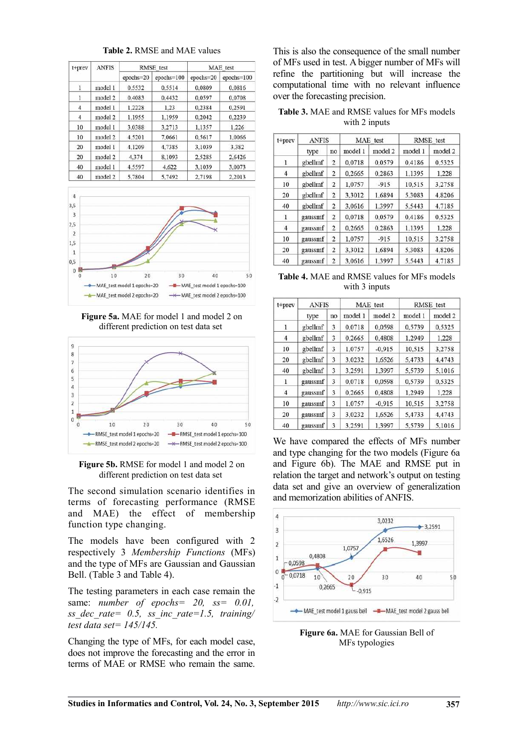| $t + prev$ | <b>ANFIS</b> |           | RMSE test  | MAE test  |            |  |
|------------|--------------|-----------|------------|-----------|------------|--|
|            |              | epochs=20 | epochs=100 | epochs=20 | epochs=100 |  |
|            | model 1      | 0.5532    | 0.5514     | 0.0809    | 0.0816     |  |
| 1          | model 2      | 0.4083    | 0.4432     | 0.0597    | 0.0708     |  |
| 4          | model 1      | 1.2228    | 1.23       | 0.2384    | 0.2591     |  |
| 4          | model 2      | 1.1955    | 1.1959     | 0.2042    | 0.2239     |  |
| 10         | model 1      | 3.0388    | 3.2713     | 1.1357    | 1.226      |  |
| 10         | model 2      | 4.5201    | 7.0661     | 0.5617    | 1.0066     |  |
| 20         | model 1      | 4.1209    | 4.7385     | 3.1039    | 3,382      |  |
| 20         | model 2      | 4.374     | 8.1093     | 2.5285    | 2.6426     |  |
| 40         | model 1      | 4.5597    | 4.622      | 3.1039    | 3.0073     |  |
| 40         | model 2      | 5.7804    | 5.7492     | 2.7198    | 2.2013     |  |

**Table 2.** RMSE and MAE values



Figure 5a. MAE for model 1 and model 2 on different prediction on test data set



**Figure 5b.** RMSE for model 1 and model 2 on different prediction on test data set

The second simulation scenario identifies in terms of forecasting performance (RMSE and MAE) the effect of membership function type changing.

The models have been configured with 2 respectively 3 *Membership Functions* (MFs) and the type of MFs are Gaussian and Gaussian Bell. (Table 3 and Table 4).

The testing parameters in each case remain the same: *number of epochs= 20, ss= 0.01, ss\_dec\_rate= 0.5, ss\_inc\_rate=1.5, training/ test data set= 145/145.*

Changing the type of MFs, for each model case, does not improve the forecasting and the error in terms of MAE or RMSE who remain the same.

This is also the consequence of the small number of MFs used in test. A bigger number of MFs will refine the partitioning but will increase the computational time with no relevant influence over the forecasting precision.

**Table 3.** MAE and RMSE values for MFs models with 2 inputs

| $t + prev$     | <b>ANFIS</b> |                | <b>MAE</b><br>test |         | <b>RMSE</b><br>test |         |
|----------------|--------------|----------------|--------------------|---------|---------------------|---------|
|                | type         | no             | model 1            | model 2 | model 1             | model 2 |
| 1              | gbellmf      | $\overline{2}$ | 0.0718             | 0.0579  | 0.4186              | 0.5325  |
| $\overline{4}$ | gbellmf      | 2              | 0.2665             | 0.2863  | 1.1395              | 1,228   |
| 10             | gbellmf      | $\overline{2}$ | 1.0757             | $-915$  | 10.515              | 3.2758  |
| 20             | gbellmf      | 2              | 3.3012             | 1.6894  | 5,3083              | 4.8206  |
| 40             | gbellmf      | 2              | 3.0616             | 1.3997  | 5,5443              | 4,7185  |
| 1              | gaussmf      | $\overline{2}$ | 0.0718             | 0.0579  | 0.4186              | 0.5325  |
| $\overline{4}$ | gaussmf      | 2              | 0.2665             | 0.2863  | 1.1395              | 1.228   |
| 10             | gaussmf      | 2              | 1,0757             | $-915$  | 10.515              | 3.2758  |
| 20             | gaussmf      | 2              | 3,3012             | 1.6894  | 5,3083              | 4,8206  |
| 40             | gaussmf      | $\overline{2}$ | 3.0616             | 1.3997  | 5,5443              | 4.7185  |

**Table 4.** MAE and RMSE values for MFs models with 3 inputs

| t+prev         | <b>ANFIS</b> |    | MAE test |          | <b>RMSE</b><br>test |         |
|----------------|--------------|----|----------|----------|---------------------|---------|
|                | type         | no | model 1  | model 2  | model 1             | model 2 |
| 1              | gbellmf      | 3  | 0.0718   | 0.0598   | 0.5739              | 0.5325  |
| $\overline{4}$ | gbellmf      | 3  | 0.2665   | 0,4808   | 1.2949              | 1.228   |
| 10             | gbellmf      | 3  | 1.0757   | $-0.915$ | 10.515              | 3.2758  |
| 20             | gbellmf      | 3  | 3.0232   | 1.6526   | 5,4733              | 4.4743  |
| 40             | gbellmf      | 3  | 3.2591   | 1.3997   | 5,5739              | 5,1016  |
| 1              | gaussmf      | 3  | 0.0718   | 0.0598   | 0.5739              | 0.5325  |
| 4              | gaussmf      | 3  | 0.2665   | 0.4808   | 1,2949              | 1.228   |
| 10             | gaussmf      | 3  | 1,0757   | $-0.915$ | 10.515              | 3.2758  |
| 20             | gaussmf      | 3  | 3.0232   | 1.6526   | 5,4733              | 4.4743  |
| 40             | gaussmf      | 3  | 3.2591   | 1.3997   | 5,5739              | 5.1016  |

We have compared the effects of MFs number and type changing for the two models (Figure 6a and Figure 6b). The MAE and RMSE put in relation the target and network's output on testing data set and give an overview of generalization and memorization abilities of ANFIS.



**Figure 6a.** MAE for Gaussian Bell of MFs typologies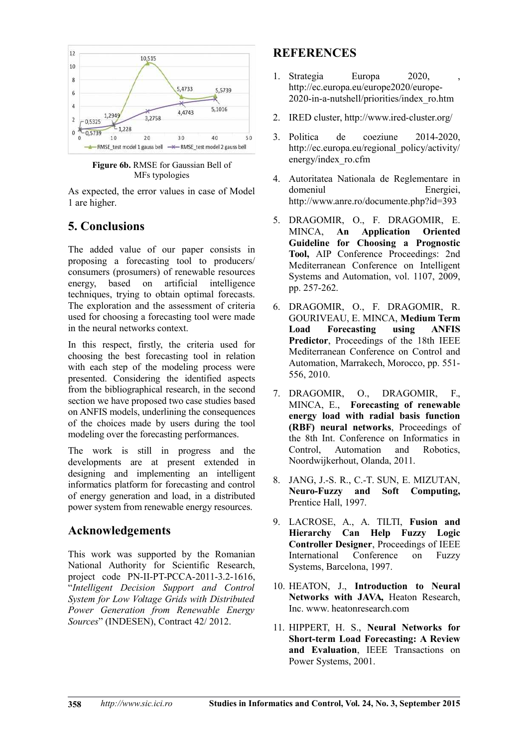

**Figure 6b.** RMSE for Gaussian Bell of MFs typologies

As expected, the error values in case of Model 1 are higher.

# **5. Conclusions**

The added value of our paper consists in proposing a forecasting tool to producers/ consumers (prosumers) of renewable resources energy, based on artificial intelligence techniques, trying to obtain optimal forecasts. The exploration and the assessment of criteria used for choosing a forecasting tool were made in the neural networks context.

In this respect, firstly, the criteria used for choosing the best forecasting tool in relation with each step of the modeling process were presented. Considering the identified aspects from the bibliographical research, in the second section we have proposed two case studies based on ANFIS models, underlining the consequences of the choices made by users during the tool modeling over the forecasting performances.

The work is still in progress and the developments are at present extended in designing and implementing an intelligent informatics platform for forecasting and control of energy generation and load, in a distributed power system from renewable energy resources.

### **Acknowledgements**

This work was supported by the Romanian National Authority for Scientific Research, project code PN-II-PT-PCCA-2011-3.2-1616, "*Intelligent Decision Support and Control System for Low Voltage Grids with Distributed Power Generation from Renewable Energy Sources*" (INDESEN), Contract 42/ 2012.

# **REFERENCES**

- 1. Strategia Europa 2020, http://ec.europa.eu/europe2020/europe-2020-in-a-nutshell/priorities/index\_ro.htm
- 2. IRED cluster, http://www.ired-cluster.org/
- 3. Politica de coeziune 2014-2020, http://ec.europa.eu/regional\_policy/activity/ energy/index\_ro.cfm
- 4. Autoritatea Nationala de Reglementare in domeniul Energiei, http://www.anre.ro/documente.php?id=393
- 5. DRAGOMIR, O., F. DRAGOMIR, E. MINCA, **An Application Oriented Guideline for Choosing a Prognostic Tool,** AIP Conference Proceedings: 2nd Mediterranean Conference on Intelligent Systems and Automation, vol. 1107, 2009, pp. 257-262.
- 6. DRAGOMIR, O., F. DRAGOMIR, R. GOURIVEAU, E. MINCA, **Medium Term Load Forecasting using ANFIS Predictor**, Proceedings of the 18th IEEE Mediterranean Conference on Control and Automation, Marrakech, Morocco, pp. 551- 556, 2010.
- 7. DRAGOMIR, O., DRAGOMIR, F., MINCA, E., **Forecasting of renewable energy load with radial basis function (RBF) neural networks**, Proceedings of the 8th Int. Conference on Informatics in Control, Automation and Robotics, Noordwijkerhout, Olanda, 2011.
- 8. JANG, J.-S. R., C.-T. SUN, E. MIZUTAN, **Neuro-Fuzzy and Soft Computing,** Prentice Hall, 1997.
- 9. LACROSE, A., A. TILTI, **Fusion and Hierarchy Can Help Fuzzy Logic Controller Designer**, Proceedings of IEEE International Conference on Fuzzy Systems, Barcelona, 1997.
- 10. HEATON, J., **Introduction to Neural Networks with JAVA,** Heaton Research, Inc. www. heatonresearch.com
- 11. HIPPERT, H. S., **Neural Networks for Short-term Load Forecasting: A Review and Evaluation**, IEEE Transactions on Power Systems, 2001.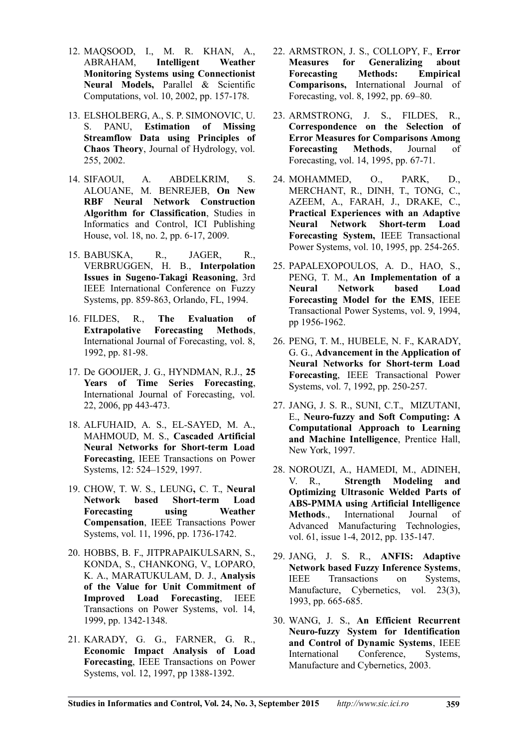- 12. MAQSOOD, I., M. R. KHAN, A., ABRAHAM, **Intelligent Weather Monitoring Systems using Connectionist Neural Models,** Parallel & Scientific Computations, vol. 10, 2002, pp. 157-178.
- 13. ELSHOLBERG, A., S. P. SIMONOVIC, U. S. PANU, **Estimation of Missing Streamflow Data using Principles of Chaos Theory**, Journal of Hydrology, vol. 255, 2002.
- 14. SIFAOUI, A. ABDELKRIM, S. ALOUANE, M. BENREJEB, **On New RBF Neural Network Construction Algorithm for Classification**, Studies in Informatics and Control, ICI Publishing House, vol. 18, no. 2, pp. 6-17, 2009.
- 15. BABUSKA, R., JAGER, R., VERBRUGGEN, H. B., **Interpolation Issues in Sugeno-Takagi Reasoning**, 3rd IEEE International Conference on Fuzzy Systems, pp. 859-863, Orlando, FL, 1994.
- 16. FILDES, R., **The Evaluation of Extrapolative Forecasting Methods**, International Journal of Forecasting, vol. 8, 1992, pp. 81-98.
- 17. De GOOIJER, J. G., HYNDMAN, R.J., **25 Years of Time Series Forecasting**, International Journal of Forecasting, vol. 22, 2006, pp 443-473.
- 18. ALFUHAID, A. S., EL-SAYED, M. A., MAHMOUD, M. S., **Cascaded Artificial Neural Networks for Short-term Load Forecasting**, IEEE Transactions on Power Systems, 12: 524–1529, 1997.
- 19. CHOW, T. W. S., LEUNG**,** C. T., **Neural Network based Short-term Load Forecasting using Weather Compensation**, IEEE Transactions Power Systems, vol. 11, 1996, pp. 1736-1742.
- 20. HOBBS, B. F., JITPRAPAIKULSARN, S., KONDA, S., CHANKONG, V., LOPARO, K. A., MARATUKULAM, D. J., **Analysis of the Value for Unit Commitment of Improved Load Forecasting**, IEEE Transactions on Power Systems, vol. 14, 1999, pp. 1342-1348.
- 21. KARADY, G. G., FARNER, G. R., **Economic Impact Analysis of Load Forecasting**, IEEE Transactions on Power Systems, vol. 12, 1997, pp 1388-1392.
- 22. ARMSTRON, J. S., COLLOPY, F., **Error Measures for Generalizing about Forecasting Methods: Empirical Comparisons,** International Journal of Forecasting, vol. 8, 1992, pp. 69–80.
- 23. ARMSTRONG, J. S., FILDES, R., **Correspondence on the Selection of Error Measures for Comparisons Among Forecasting Methods**, Journal of Forecasting, vol. 14, 1995, pp. 67-71.
- 24. MOHAMMED, O., PARK, D., MERCHANT, R., DINH, T., TONG, C., AZEEM, A., FARAH, J., DRAKE, C., **Practical Experiences with an Adaptive Neural Network Short-term Load Forecasting System,** IEEE Transactional Power Systems, vol. 10, 1995, pp. 254-265.
- 25. PAPALEXOPOULOS, A. D., HAO, S., PENG, T. M., **An Implementation of a Neural Network based Load Forecasting Model for the EMS**, IEEE Transactional Power Systems, vol. 9, 1994, pp 1956-1962.
- 26. PENG, T. M., HUBELE, N. F., KARADY, G. G., **Advancement in the Application of Neural Networks for Short-term Load Forecasting**, IEEE Transactional Power Systems, vol. 7, 1992, pp. 250-257.
- 27. JANG, J. S. R., SUNI, C.T., MIZUTANI, E., **Neuro-fuzzy and Soft Computing: A Computational Approach to Learning and Machine Intelligence**, Prentice Hall, New York, 1997.
- 28. NOROUZI, A., HAMEDI, M., ADINEH, V. R., **Strength Modeling and Optimizing Ultrasonic Welded Parts of ABS-PMMA using Artificial Intelligence Methods**., International Journal of Advanced Manufacturing Technologies, vol. 61, issue 1-4, 2012, pp. 135-147.
- 29. JANG, J. S. R., **ANFIS: Adaptive Network based Fuzzy Inference Systems**, IEEE Transactions on Systems, Manufacture, Cybernetics, vol. 23(3), 1993, pp. 665-685.
- 30. WANG, J. S., **An Efficient Recurrent Neuro-fuzzy System for Identification and Control of Dynamic Systems**, IEEE International Conference, Systems, Manufacture and Cybernetics, 2003.